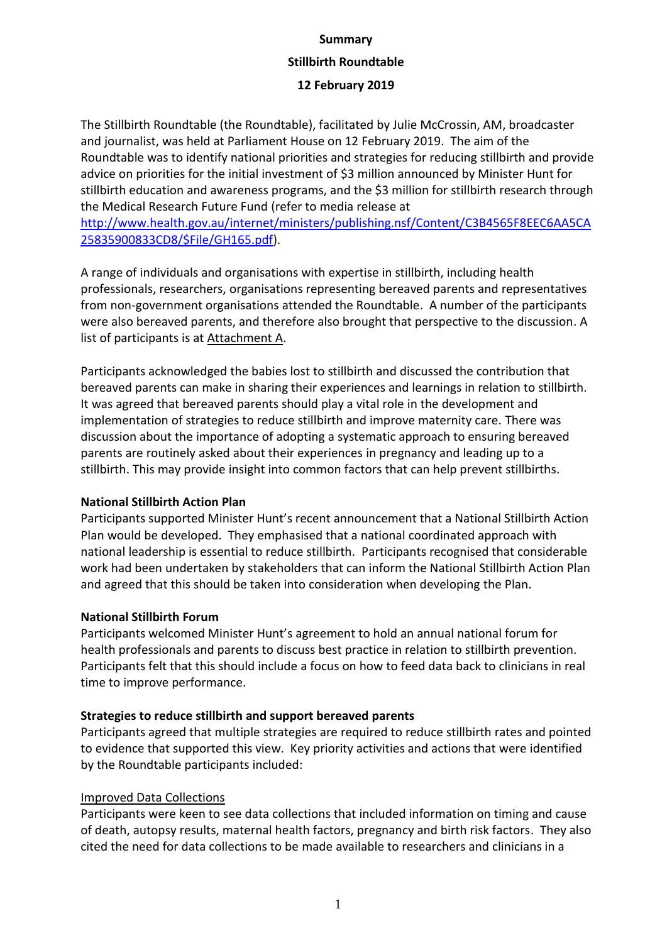# **Summary Stillbirth Roundtable**

## **12 February 2019**

The Stillbirth Roundtable (the Roundtable), facilitated by Julie McCrossin, AM, broadcaster and journalist, was held at Parliament House on 12 February 2019. The aim of the Roundtable was to identify national priorities and strategies for reducing stillbirth and provide advice on priorities for the initial investment of \$3 million announced by Minister Hunt for stillbirth education and awareness programs, and the \$3 million for stillbirth research through the Medical Research Future Fund (refer to media release at

[http://www.health.gov.au/internet/ministers/publishing.nsf/Content/C3B4565F8EEC6AA5CA](http://www.health.gov.au/internet/ministers/publishing.nsf/Content/C3B4565F8EEC6AA5CA25835900833CD8/$File/GH165.pdf) [25835900833CD8/\\$File/GH165.pdf\)](http://www.health.gov.au/internet/ministers/publishing.nsf/Content/C3B4565F8EEC6AA5CA25835900833CD8/$File/GH165.pdf).

A range of individuals and organisations with expertise in stillbirth, including health professionals, researchers, organisations representing bereaved parents and representatives from non-government organisations attended the Roundtable. A number of the participants were also bereaved parents, and therefore also brought that perspective to the discussion. A list of participants is at Attachment A.

Participants acknowledged the babies lost to stillbirth and discussed the contribution that bereaved parents can make in sharing their experiences and learnings in relation to stillbirth. It was agreed that bereaved parents should play a vital role in the development and implementation of strategies to reduce stillbirth and improve maternity care. There was discussion about the importance of adopting a systematic approach to ensuring bereaved parents are routinely asked about their experiences in pregnancy and leading up to a stillbirth. This may provide insight into common factors that can help prevent stillbirths.

## **National Stillbirth Action Plan**

Participants supported Minister Hunt's recent announcement that a National Stillbirth Action Plan would be developed. They emphasised that a national coordinated approach with national leadership is essential to reduce stillbirth. Participants recognised that considerable work had been undertaken by stakeholders that can inform the National Stillbirth Action Plan and agreed that this should be taken into consideration when developing the Plan.

## **National Stillbirth Forum**

Participants welcomed Minister Hunt's agreement to hold an annual national forum for health professionals and parents to discuss best practice in relation to stillbirth prevention. Participants felt that this should include a focus on how to feed data back to clinicians in real time to improve performance.

# **Strategies to reduce stillbirth and support bereaved parents**

Participants agreed that multiple strategies are required to reduce stillbirth rates and pointed to evidence that supported this view. Key priority activities and actions that were identified by the Roundtable participants included:

# Improved Data Collections

Participants were keen to see data collections that included information on timing and cause of death, autopsy results, maternal health factors, pregnancy and birth risk factors. They also cited the need for data collections to be made available to researchers and clinicians in a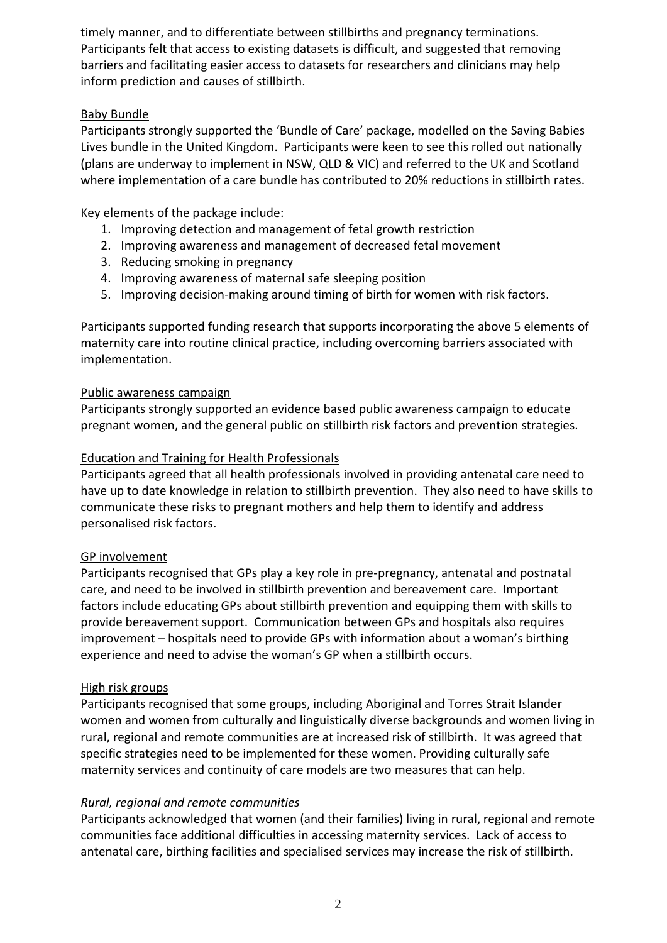timely manner, and to differentiate between stillbirths and pregnancy terminations. Participants felt that access to existing datasets is difficult, and suggested that removing barriers and facilitating easier access to datasets for researchers and clinicians may help inform prediction and causes of stillbirth.

## Baby Bundle

Participants strongly supported the 'Bundle of Care' package, modelled on the Saving Babies Lives bundle in the United Kingdom. Participants were keen to see this rolled out nationally (plans are underway to implement in NSW, QLD & VIC) and referred to the UK and Scotland where implementation of a care bundle has contributed to 20% reductions in stillbirth rates.

Key elements of the package include:

- 1. Improving detection and management of fetal growth restriction
- 2. Improving awareness and management of decreased fetal movement
- 3. Reducing smoking in pregnancy
- 4. Improving awareness of maternal safe sleeping position
- 5. Improving decision-making around timing of birth for women with risk factors.

Participants supported funding research that supports incorporating the above 5 elements of maternity care into routine clinical practice, including overcoming barriers associated with implementation.

#### Public awareness campaign

Participants strongly supported an evidence based public awareness campaign to educate pregnant women, and the general public on stillbirth risk factors and prevention strategies.

## Education and Training for Health Professionals

Participants agreed that all health professionals involved in providing antenatal care need to have up to date knowledge in relation to stillbirth prevention. They also need to have skills to communicate these risks to pregnant mothers and help them to identify and address personalised risk factors.

## GP involvement

Participants recognised that GPs play a key role in pre-pregnancy, antenatal and postnatal care, and need to be involved in stillbirth prevention and bereavement care. Important factors include educating GPs about stillbirth prevention and equipping them with skills to provide bereavement support. Communication between GPs and hospitals also requires improvement – hospitals need to provide GPs with information about a woman's birthing experience and need to advise the woman's GP when a stillbirth occurs.

## High risk groups

Participants recognised that some groups, including Aboriginal and Torres Strait Islander women and women from culturally and linguistically diverse backgrounds and women living in rural, regional and remote communities are at increased risk of stillbirth. It was agreed that specific strategies need to be implemented for these women. Providing culturally safe maternity services and continuity of care models are two measures that can help.

## *Rural, regional and remote communities*

Participants acknowledged that women (and their families) living in rural, regional and remote communities face additional difficulties in accessing maternity services. Lack of access to antenatal care, birthing facilities and specialised services may increase the risk of stillbirth.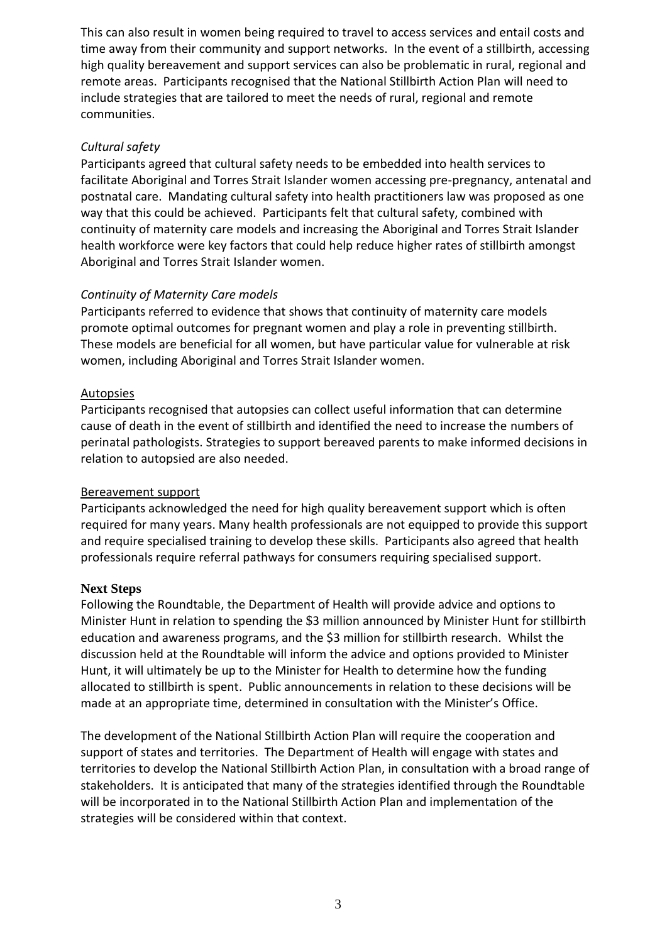This can also result in women being required to travel to access services and entail costs and time away from their community and support networks. In the event of a stillbirth, accessing high quality bereavement and support services can also be problematic in rural, regional and remote areas. Participants recognised that the National Stillbirth Action Plan will need to include strategies that are tailored to meet the needs of rural, regional and remote communities.

## *Cultural safety*

Participants agreed that cultural safety needs to be embedded into health services to facilitate Aboriginal and Torres Strait Islander women accessing pre-pregnancy, antenatal and postnatal care. Mandating cultural safety into health practitioners law was proposed as one way that this could be achieved. Participants felt that cultural safety, combined with continuity of maternity care models and increasing the Aboriginal and Torres Strait Islander health workforce were key factors that could help reduce higher rates of stillbirth amongst Aboriginal and Torres Strait Islander women.

## *Continuity of Maternity Care models*

Participants referred to evidence that shows that continuity of maternity care models promote optimal outcomes for pregnant women and play a role in preventing stillbirth. These models are beneficial for all women, but have particular value for vulnerable at risk women, including Aboriginal and Torres Strait Islander women.

#### **Autopsies**

Participants recognised that autopsies can collect useful information that can determine cause of death in the event of stillbirth and identified the need to increase the numbers of perinatal pathologists. Strategies to support bereaved parents to make informed decisions in relation to autopsied are also needed.

#### Bereavement support

Participants acknowledged the need for high quality bereavement support which is often required for many years. Many health professionals are not equipped to provide this support and require specialised training to develop these skills. Participants also agreed that health professionals require referral pathways for consumers requiring specialised support.

#### **Next Steps**

Following the Roundtable, the Department of Health will provide advice and options to Minister Hunt in relation to spending the \$3 million announced by Minister Hunt for stillbirth education and awareness programs, and the \$3 million for stillbirth research. Whilst the discussion held at the Roundtable will inform the advice and options provided to Minister Hunt, it will ultimately be up to the Minister for Health to determine how the funding allocated to stillbirth is spent. Public announcements in relation to these decisions will be made at an appropriate time, determined in consultation with the Minister's Office.

The development of the National Stillbirth Action Plan will require the cooperation and support of states and territories. The Department of Health will engage with states and territories to develop the National Stillbirth Action Plan, in consultation with a broad range of stakeholders. It is anticipated that many of the strategies identified through the Roundtable will be incorporated in to the National Stillbirth Action Plan and implementation of the strategies will be considered within that context.